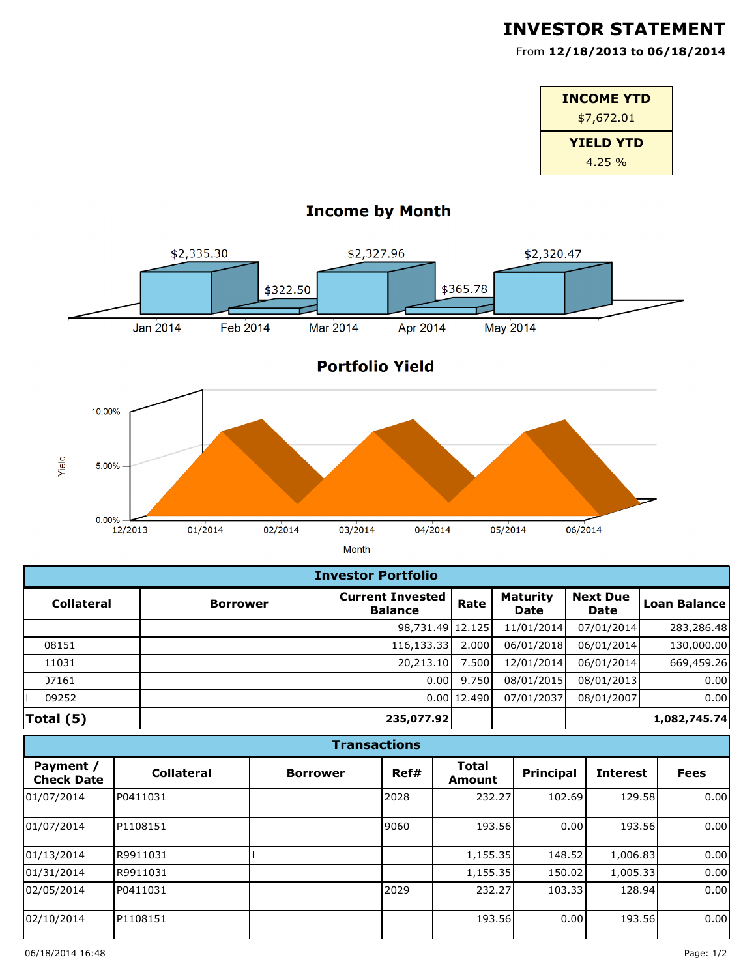## **INVESTOR STATEMENT**

555 H Street, Suite G From **12/18/2013 to 06/18/2014**

| <b>INCOME YTD</b> |
|-------------------|
| \$7,672.01        |
| <b>YIELD YTD</b>  |
| 4.25%             |



## **Income by Month**

| <b>Investor Portfolio</b> |                 |                                           |             |                                |                                |              |  |
|---------------------------|-----------------|-------------------------------------------|-------------|--------------------------------|--------------------------------|--------------|--|
| <b>Collateral</b>         | <b>Borrower</b> | <b>Current Invested</b><br><b>Balance</b> | Rate        | <b>Maturity</b><br><b>Date</b> | <b>Next Due</b><br><b>Date</b> | Loan Balance |  |
|                           |                 | 98,731.49 12.125                          |             | 11/01/2014                     | 07/01/2014                     | 283,286.48   |  |
| 08151                     |                 | 116,133.33                                | 2.000       | 06/01/2018                     | 06/01/2014                     | 130,000.00   |  |
| 11031                     |                 | 20,213.10                                 | 7.500       | 12/01/2014                     | 06/01/2014                     | 669,459.26   |  |
| 07161                     |                 | 0.00                                      | 9.750       | 08/01/2015                     | 08/01/2013                     | 0.00         |  |
| 09252                     |                 |                                           | 0.00 12.490 | 07/01/2037                     | 08/01/2007                     | 0.00         |  |
| Total (5)                 |                 | 235,077.92                                |             |                                |                                | 1,082,745.74 |  |

## **Transactions**

| Payment /<br><b>Check Date</b> | <b>Collateral</b> | <b>Borrower</b> | Ref# | <b>Total</b><br>Amount | <b>Principal</b> | <b>Interest</b> | <b>Fees</b> |
|--------------------------------|-------------------|-----------------|------|------------------------|------------------|-----------------|-------------|
| 01/07/2014                     | P0411031          |                 | 2028 | 232.27                 | 102.69           | 129.58          | 0.00        |
| 01/07/2014                     | P1108151          |                 | 9060 | 193.56                 | 0.00             | 193.56          | 0.00        |
| 01/13/2014                     | R9911031          |                 |      | 1,155.35               | 148.52           | 1,006.83        | 0.00        |
| 01/31/2014                     | R9911031          |                 |      | 1,155.35               | 150.02           | 1,005.33        | 0.00        |
| 02/05/2014                     | P0411031          |                 | 2029 | 232.27                 | 103.33           | 128.94          | 0.00        |
| 02/10/2014                     | P1108151          |                 |      | 193.56                 | 0.00             | 193.56          | 0.00        |